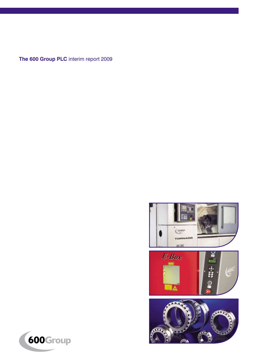**The 600 Group PLC** interim report 2009



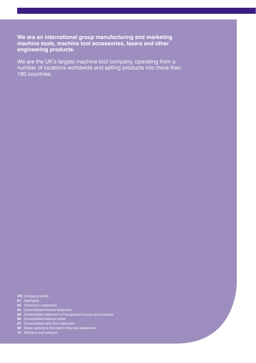**We are an international group manufacturing and marketing machine tools, machine tool accessories, lasers and other engineering products.**

We are the UK's largest machine tool company, operating from a number of locations worldwide and selling products into more than 180 countries.

IFC Company profile<br>01 - Highlights<br>02 - Chairman's statement<br>04 - Consolidated income statement<br>05 - Consolidated statement of recognised income and expense<br>06 - Consolidated cash flow statement<br>08 - Notes relating to the

**12** Directors and advisors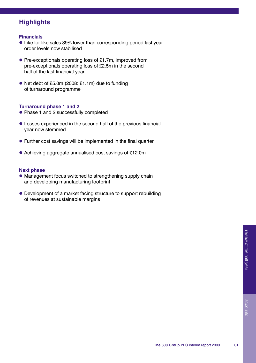# **Highlights**

### **Financials**

- Like for like sales 39% lower than corresponding period last year, order levels now stabilised
- Pre-exceptionals operating loss of £1.7m, improved from pre-exceptionals operating loss of £2.5m in the second half of the last financial year
- Net debt of £5.0m (2008: £1.1m) due to funding of turnaround programme

#### **Turnaround phase 1 and 2**

- Phase 1 and 2 successfully completed
- Losses experienced in the second half of the previous financial year now stemmed
- Further cost savings will be implemented in the final quarter
- Achieving aggregate annualised cost savings of £12.0m

### **Next phase**

- Management focus switched to strengthening supply chain and developing manufacturing footprint
- Development of a market facing structure to support rebuilding of revenues at sustainable margins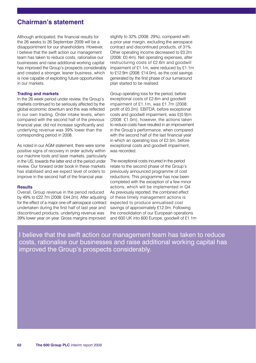## **Chairman's statement**

Although anticipated, the financial results for the 26 weeks to 26 September 2009 will be a disappointment for our shareholders. However, I believe that the swift action our management team has taken to reduce costs, rationalise our businesses and raise additional working capital has improved the Group's prospects considerably and created a stronger, leaner business, which is now capable of exploiting future opportunities in our markets.

#### **Trading and markets**

In the 26 week period under review, the Group's markets continued to be seriously affected by the global economic downturn and this was reflected in our own trading. Order intake levels, when compared with the second half of the previous financial year, did not increase significantly and underlying revenue was 39% lower than the corresponding period in 2008.

As noted in our AGM statement, there were some positive signs of recovery in order activity within our machine tools and laser markets, particularly in the US, towards the latter end of the period under review. Our forward order book in these markets has stabilised and we expect level of orders to improve in the second half of the financial year.

#### **Results**

Overall, Group revenue in the period reduced by 49% to £22.7m (2008: £44.2m). After adjusting for the effect of a major one-off aerospace contract undertaken during the first half of last year and discontinued products, underlying revenue was 39% lower year on year. Gross margins improved

slightly to 32% (2008: 29%), compared with a prior year margin, excluding the aerospace contract and discontinued products, of 31%. Other operating income decreased to £0.2m (2008: £0.4m). Net operating expenses, after restructuring costs of £2.6m and goodwill impairment of £1.1m, were reduced by £1.1m to £12.9m (2008: £14.0m), as the cost savings generated by the first phase of our turnaround plan started to be realised.

Group operating loss for the period, before exceptional costs of £2.6m and goodwill impairment of £1.1m, was £1.7m (2008: profit of £0.2m). EBITDA, before exceptional costs and goodwill impairment, was £(0.9)m (2008: £1.0m), however, the actions taken to reduce costs have resulted in an improvement in the Group's performance, when compared with the second half of the last financial year in which an operating loss of £2.5m, before exceptional costs and goodwill impairment, was recorded.

The exceptional costs incurred in the period relate to the second phase of the Group's previously announced programme of cost reductions. This programme has now been completed with the exception of a few minor actions, which will be implemented in Q4. As previously reported, the combined effect of these timely management actions is expected to produce annualised cost savings of approximately £12.0m. Following the consolidation of our European operations and 600 UK into 600 Europe, goodwill of £1.1m

I believe that the swift action our management team has taken to reduce costs, rationalise our businesses and raise additional working capital has improved the Group's prospects considerably.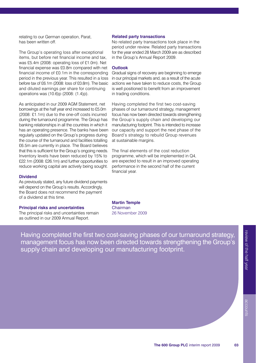relating to our German operation, Parat, has been written off.

The Group's operating loss after exceptional items, but before net financial income and tax, was £5.4m (2008: operating loss of £1.0m). Net financial expense was £0.8m compared with net financial income of £0.1m in the corresponding period in the previous year. This resulted in a loss before tax of £6.1m (2008: loss of £0.8m). The basic and diluted earnings per share for continuing operations was (10.6)p (2008: (1.4)p).

As anticipated in our 2009 AGM Statement, net borrowings at the half year end increased to £5.0m (2008: £1.1m) due to the one-off costs incurred during the turnaround programme. The Group has banking relationships in all the countries in which it has an operating presence. The banks have been regularly updated on the Group's progress during the course of the turnaround and facilities totalling £6.5m are currently in place. The Board believes that this is sufficient for the Group's ongoing needs. Inventory levels have been reduced by 15% to £22.1m (2008: £26.1m) and further opportunities to reduce working capital are actively being sought.

#### **Dividend**

As previously stated, any future dividend payments will depend on the Group's results. Accordingly, the Board does not recommend the payment of a dividend at this time.

#### **Principal risks and uncertainties**

The principal risks and uncertainties remain as outlined in our 2009 Annual Report.

#### **Related party transactions**

No related party transactions took place in the period under review. Related party transactions for the year ended 28 March 2009 are as described in the Group's Annual Report 2009.

#### **Outlook**

Gradual signs of recovery are beginning to emerge in our principal markets and, as a result of the acute actions we have taken to reduce costs, the Group is well positioned to benefit from an improvement in trading conditions.

Having completed the first two cost-saving phases of our turnaround strategy, management focus has now been directed towards strengthening the Group's supply chain and developing our manufacturing footprint. This is intended to increase our capacity and support the next phase of the Board's strategy to rebuild Group revenues at sustainable margins.

The final elements of the cost reduction programme, which will be implemented in Q4, are expected to result in an improved operating performance in the second half of the current financial year.

**Martin Temple**  Chairman 26 November 2009

Having completed the first two cost-saving phases of our turnaround strategy, management focus has now been directed towards strengthening the Group's supply chain and developing our manufacturing footprint.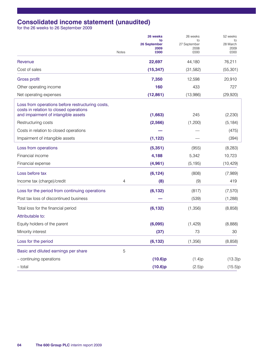# **Consolidated income statement (unaudited)** for the 26 weeks to 26 September 2009

|                                                                                            | Notes |              | 26 weeks<br>to | 26 weeks<br>to | 52 weeks<br>to |
|--------------------------------------------------------------------------------------------|-------|--------------|----------------|----------------|----------------|
|                                                                                            |       |              |                | 26 September   | 27 September   |
|                                                                                            |       | 2009<br>0003 | 2008<br>£000   | 2009<br>£000   |                |
| Revenue                                                                                    |       | 22,697       | 44,180         | 76,211         |                |
| Cost of sales                                                                              |       | (15, 347)    | (31, 582)      | (55, 301)      |                |
| Gross profit                                                                               |       | 7,350        | 12,598         | 20,910         |                |
| Other operating income                                                                     |       | 160          | 433            | 727            |                |
| Net operating expenses                                                                     |       | (12, 861)    | (13,986)       | (29, 920)      |                |
| Loss from operations before restructuring costs,<br>costs in relation to closed operations |       |              |                |                |                |
| and impairment of intangible assets                                                        |       | (1,663)      | 245            | (2,230)        |                |
| Restructuring costs                                                                        |       | (2,566)      | (1,200)        | (5, 184)       |                |
| Costs in relation to closed operations                                                     |       |              |                | (475)          |                |
| Impairment of intangible assets                                                            |       | (1, 122)     |                | (394)          |                |
| Loss from operations                                                                       |       | (5,351)      | (955)          | (8,283)        |                |
| Financial income                                                                           |       | 4,188        | 5,342          | 10,723         |                |
| Financial expense                                                                          |       | (4, 961)     | (5, 195)       | (10, 429)      |                |
| Loss before tax                                                                            |       | (6, 124)     | (808)          | (7,989)        |                |
| Income tax (charge)/credit                                                                 | 4     | (8)          | (9)            | 419            |                |
| Loss for the period from continuing operations                                             |       | (6, 132)     | (817)          | (7,570)        |                |
| Post tax loss of discontinued business                                                     |       |              | (539)          | (1,288)        |                |
| Total loss for the financial period                                                        |       | (6, 132)     | (1,356)        | (8,858)        |                |
| Attributable to:                                                                           |       |              |                |                |                |
| Equity holders of the parent                                                               |       | (6,095)      | (1,429)        | (8,888)        |                |
| Minority interest                                                                          |       | (37)         | 73             | 30             |                |
| Loss for the period                                                                        |       | (6, 132)     | (1, 356)       | (8, 858)       |                |
| Basic and diluted earnings per share                                                       | 5     |              |                |                |                |
| - continuing operations                                                                    |       | (10.6)p      | (1.4)p         | (13.3)p        |                |
| - total                                                                                    |       | (10.6)p      | (2.5)p         | (15.5)p        |                |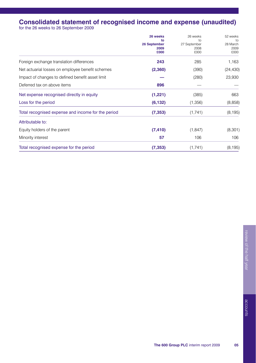# **Consolidated statement of recognised income and expense (unaudited)** for the 26 weeks to 26 September 2009

|                                                    | 26 weeks     | 26 weeks<br>10 <sub>o</sub><br>27 September<br>2008<br>£000 | 52 weeks<br>to<br>28 March<br>2009<br>£000 |
|----------------------------------------------------|--------------|-------------------------------------------------------------|--------------------------------------------|
|                                                    | to           |                                                             |                                            |
|                                                    | 26 September |                                                             |                                            |
|                                                    | 2009         |                                                             |                                            |
|                                                    | £000         |                                                             |                                            |
| Foreign exchange translation differences           | 243          | 285                                                         | 1,163                                      |
| Net actuarial losses on employee benefit schemes   | (2,360)      | (390)                                                       | (24, 430)                                  |
| Impact of changes to defined benefit asset limit   |              | (280)                                                       | 23,930                                     |
| Deferred tax on above items                        | 896          |                                                             |                                            |
| Net expense recognised directly in equity          | (1,221)      | (385)                                                       | 663                                        |
| Loss for the period                                | (6, 132)     | (1,356)                                                     | (8,858)                                    |
| Total recognised expense and income for the period | (7, 353)     | (1,741)                                                     | (8, 195)                                   |
| Attributable to:                                   |              |                                                             |                                            |
| Equity holders of the parent                       | (7, 410)     | (1, 847)                                                    | (8, 301)                                   |
| Minority interest                                  | 57           | 106                                                         | 106                                        |
| Total recognised expense for the period            | (7, 353)     | (1,741)                                                     | (8, 195)                                   |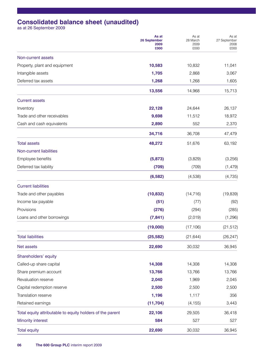# **Consolidated balance sheet (unaudited)** as at 26 September 2009

|                                                           | As at<br>26 September<br>2009<br>£000 | As at<br>28 March<br>2009<br>£000 | As at<br>27 September<br>2008<br>£000 |
|-----------------------------------------------------------|---------------------------------------|-----------------------------------|---------------------------------------|
| Non-current assets                                        |                                       |                                   |                                       |
| Property, plant and equipment                             | 10,583                                | 10,832                            | 11,041                                |
| Intangible assets                                         | 1,705                                 | 2,868                             | 3,067                                 |
| Deferred tax assets                                       | 1,268                                 | 1,268                             | 1,605                                 |
|                                                           | 13,556                                | 14,968                            | 15,713                                |
| <b>Current assets</b>                                     |                                       |                                   |                                       |
| Inventory                                                 | 22,128                                | 24,644                            | 26,137                                |
| Trade and other receivables                               | 9,698                                 | 11,512                            | 18,972                                |
| Cash and cash equivalents                                 | 2,890                                 | 552                               | 2,370                                 |
|                                                           | 34,716                                | 36,708                            | 47,479                                |
| <b>Total assets</b>                                       | 48,272                                | 51,676                            | 63,192                                |
| Non-current liabilities                                   |                                       |                                   |                                       |
| Employee benefits                                         | (5, 873)                              | (3,829)                           | (3,256)                               |
| Deferred tax liability                                    | (709)                                 | (709)                             | (1, 479)                              |
|                                                           | (6, 582)                              | (4,538)                           | (4, 735)                              |
| <b>Current liabilities</b>                                |                                       |                                   |                                       |
| Trade and other payables                                  | (10, 832)                             | (14, 716)                         | (19, 839)                             |
| Income tax payable                                        | (51)                                  | (77)                              | (92)                                  |
| Provisions                                                | (276)                                 | (294)                             | (285)                                 |
| Loans and other borrowings                                | (7, 841)                              | (2,019)                           | (1,296)                               |
|                                                           | (19,000)                              | (17, 106)                         | (21,512)                              |
| <b>Total liabilities</b>                                  | (25, 582)                             | (21, 644)                         | (26, 247)                             |
| Net assets                                                | 22,690                                | 30,032                            | 36,945                                |
| Shareholders' equity                                      |                                       |                                   |                                       |
| Called-up share capital                                   | 14,308                                | 14,308                            | 14,308                                |
| Share premium account                                     | 13,766                                | 13,766                            | 13,766                                |
| Revaluation reserve                                       | 2,040                                 | 1,969                             | 2,045                                 |
| Capital redemption reserve                                | 2,500                                 | 2,500                             | 2,500                                 |
| Translation reserve                                       | 1,196                                 | 1,117                             | 356                                   |
| Retained earnings                                         | (11, 704)                             | (4, 155)                          | 3,443                                 |
| Total equity attributable to equity holders of the parent | 22,106                                | 29,505                            | 36,418                                |
| <b>Minority interest</b>                                  | 584                                   | 527                               | 527                                   |
| <b>Total equity</b>                                       | 22,690                                | 30,032                            | 36,945                                |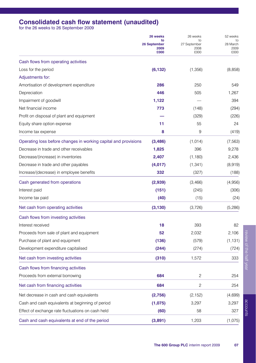# **Consolidated cash flow statement (unaudited)** for the 26 weeks to 26 September 2009

|                                                                 | 26 weeks<br>to<br>26 September | 26 weeks<br>to<br>27 September<br>2008<br>£000 | 52 weeks<br>to<br>28 March<br>2009<br>£000 |
|-----------------------------------------------------------------|--------------------------------|------------------------------------------------|--------------------------------------------|
|                                                                 |                                |                                                |                                            |
|                                                                 | 2009<br><b>COOO</b>            |                                                |                                            |
| Cash flows from operating activities                            |                                |                                                |                                            |
| Loss for the period                                             | (6, 132)                       | (1,356)                                        | (8,858)                                    |
| Adjustments for:                                                |                                |                                                |                                            |
| Amortisation of development expenditure                         | 286                            | 250                                            | 549                                        |
| Depreciation                                                    | 446                            | 505                                            | 1,267                                      |
| Impairment of goodwill                                          | 1,122                          |                                                | 394                                        |
| Net financial income                                            | 773                            | (148)                                          | (294)                                      |
| Profit on disposal of plant and equipment                       |                                | (329)                                          | (226)                                      |
| Equity share option expense                                     | 11                             | 55                                             | 24                                         |
| Income tax expense                                              | 8                              | 9                                              | (419)                                      |
| Operating loss before changes in working capital and provisions | (3, 486)                       | (1, 014)                                       | (7, 563)                                   |
| Decrease in trade and other receivables                         | 1,825                          | 396                                            | 9,278                                      |
| Decrease/(increase) in inventories                              | 2,407                          | (1, 180)                                       | 2,436                                      |
| Decrease in trade and other payables                            | (4,017)                        | (1, 341)                                       | (8,919)                                    |
| Increase/(decrease) in employee benefits                        | 332                            | (327)                                          | (188)                                      |
| Cash generated from operations                                  | (2,939)                        | (3, 466)                                       | (4,956)                                    |
| Interest paid                                                   | (151)                          | (245)                                          | (306)                                      |
| Income tax paid                                                 | (40)                           | (15)                                           | (24)                                       |
| Net cash from operating activities                              | (3, 130)                       | (3,726)                                        | (5,286)                                    |
| Cash flows from investing activities                            |                                |                                                |                                            |
| Interest received                                               | 18                             | 393                                            | 82                                         |
| Proceeds from sale of plant and equipment                       | 52                             | 2.032                                          | 2,106                                      |
| Purchase of plant and equipment                                 | (136)                          | (579)                                          | (1, 131)                                   |
| Development expenditure capitalised                             | (244)                          | (274)                                          | (724)                                      |
| Net cash from investing activities                              | (310)                          | 1,572                                          | 333                                        |
| Cash flows from financing activities                            |                                |                                                |                                            |
| Proceeds from external borrowing                                | 684                            | $\overline{c}$                                 | 254                                        |
| Net cash from financing activities                              | 684                            | $\overline{c}$                                 | 254                                        |
| Net decrease in cash and cash equivalents                       | (2,756)                        | (2, 152)                                       | (4,699)                                    |
| Cash and cash equivalents at beginning of period                | (1,075)                        | 3,297                                          | 3,297                                      |
| Effect of exchange rate fluctuations on cash held               | (60)                           | 58                                             | 327                                        |
| Cash and cash equivalents at end of the period                  | (3,891)                        | 1,203                                          | (1,075)                                    |

accounts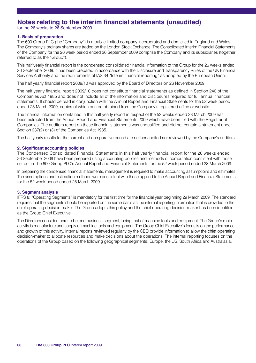## **Notes relating to the interim financial statements (unaudited)**

for the 26 weeks to 26 September 2009

#### **1. Basis of preparation**

The 600 Group PLC (the "Company") is a public limited company incorporated and domiciled in England and Wales. The Company's ordinary shares are traded on the London Stock Exchange. The Consolidated Interim Financial Statements of the Company for the 26 week period ended 26 September 2009 comprise the Company and its subsidiaries (together referred to as the "Group").

This half yearly financial report is the condensed consolidated financial information of the Group for the 26 weeks ended 26 September 2009. It has been prepared in accordance with the Disclosure and Transparency Rules of the UK Financial Services Authority and the requirements of IAS 34 "Interim financial reporting" as adopted by the European Union.

The half yearly financial report 2009/10 was approved by the Board of Directors on 26 November 2009.

The half yearly financial report 2009/10 does not constitute financial statements as defined in Section 240 of the Companies Act 1985 and does not include all of the information and disclosures required for full annual financial statements. It should be read in conjunction with the Annual Report and Financial Statements for the 52 week period ended 28 March 2009, copies of which can be obtained from the Company's registered office or website.

The financial information contained in this half yearly report in respect of the 52 weeks ended 28 March 2009 has been extracted from the Annual Report and Financial Statements 2009 which have been filed with the Registrar of Companies. The auditors report on these financial statements was unqualified and did not contain a statement under Section 237(2) or (3) of the Companies Act 1985.

The half yearly results for the current and comparative period are neither audited nor reviewed by the Company's auditors.

#### **2. Significant accounting policies**

The Condensed Consolidated Financial Statements in this half yearly financial report for the 26 weeks ended 26 September 2009 have been prepared using accounting policies and methods of computation consistent with those set out in The 600 Group PLC's Annual Report and Financial Statements for the 52 week period ended 28 March 2009.

In preparing the condensed financial statements, management is required to make accounting assumptions and estimates. The assumptions and estimation methods were consistent with those applied to the Annual Report and Financial Statements for the 52 week period ended 28 March 2009.

#### **3. Segment analysis**

IFRS 8: "Operating Segments" is mandatory for the first time for the financial year beginning 29 March 2009. The standard requires that the segments should be reported on the same basis as the internal reporting information that is provided to the chief operating decision-maker. The Group adopts this policy and the chief operating decision-maker has been identified as the Group Chief Executive.

The Directors consider there to be one business segment, being that of machine tools and equipment. The Group's main activity is manufacture and supply of machine tools and equipment. The Group Chief Executive's focus is on the performance and growth of this activity. Internal reports reviewed regularly by the CEO provide information to allow the chief operating decision-maker to allocate resources and make decisions about the operations. The internal reporting focuses on the operations of the Group based on the following geographical segments: Europe, the US, South Africa and Australasia.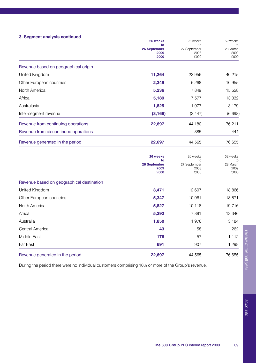### **3. Segment analysis continued**

|                                           | 26 weeks<br>to<br>26 September<br>2009<br>£000 | 26 weeks<br>to<br>27 September<br>2008<br>£000 | 52 weeks<br>to<br>28 March<br>2009<br>£000 |
|-------------------------------------------|------------------------------------------------|------------------------------------------------|--------------------------------------------|
| Revenue based on geographical origin      |                                                |                                                |                                            |
| United Kingdom                            | 11,264                                         | 23,956                                         | 40,215                                     |
| Other European countries                  | 2,349                                          | 6,268                                          | 10,955                                     |
| North America                             | 5,236                                          | 7.849                                          | 15,528                                     |
| Africa                                    | 5,189                                          | 7,577                                          | 13,032                                     |
| Australasia                               | 1,825                                          | 1,977                                          | 3,179                                      |
| Inter-segment revenue                     | (3, 166)                                       | (3, 447)                                       | (6,698)                                    |
| Revenue from continuing operations        | 22,697                                         | 44,180                                         | 76,211                                     |
| Revenue from discontinued operations      |                                                | 385                                            | 444                                        |
| Revenue generated in the period           | 22,697                                         | 44,565                                         | 76,655                                     |
|                                           | 26 weeks<br>to<br>26 September<br>2009         | 26 weeks<br>to<br>27 September<br>2008         | 52 weeks<br>to<br>28 March<br>2009         |
|                                           | <b>COOO</b>                                    | £000                                           | £000                                       |
| Revenue based on geographical destination |                                                |                                                |                                            |
| United Kingdom                            | 3,471                                          | 12,607                                         | 18,866                                     |
| Other European countries                  | 5,347                                          | 10,961                                         | 18,871                                     |
| North America                             | 5,827                                          | 10,118                                         | 19,716                                     |
| Africa                                    | 5,292                                          | 7,881                                          | 13,346                                     |
| Australia                                 | 1,850                                          | 1,976                                          | 3,184                                      |
| Central America                           | 43                                             | 58                                             | 262                                        |
| Middle East                               | 176                                            | 57                                             | 1,112                                      |
| Far East                                  | 691                                            | 907                                            | 1,298                                      |
| Revenue generated in the period           | 22.697                                         | 44.565                                         | 76.655                                     |

During the period there were no individual customers comprising 10% or more of the Group's revenue.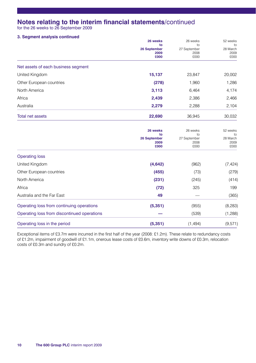## **Notes relating to the interim financial statements**/continued

for the 26 weeks to 26 September 2009

#### **3. Segment analysis continued**

|                                             | 26 weeks<br>to       | 26 weeks<br>to<br>27 September<br>2008 | 52 weeks<br>to<br>28 March<br>2009<br>£000 |
|---------------------------------------------|----------------------|----------------------------------------|--------------------------------------------|
|                                             |                      |                                        |                                            |
|                                             | 26 September<br>2009 |                                        |                                            |
|                                             | <b>COOO</b>          | £000                                   |                                            |
| Net assets of each business segment         |                      |                                        |                                            |
| United Kingdom                              | 15,137               | 23,847                                 | 20,002                                     |
| Other European countries                    | (278)                | 1,960                                  | 1,286                                      |
| North America                               | 3,113                | 6,464                                  | 4,174                                      |
| Africa                                      | 2,439                | 2,386                                  | 2,466                                      |
| Australia                                   | 2,279                | 2,288                                  | 2,104                                      |
| <b>Total net assets</b>                     | 22,690               | 36,945                                 | 30,032                                     |
|                                             | 26 weeks             | 26 weeks                               | 52 weeks                                   |
|                                             | to                   | to                                     | to                                         |
|                                             | 26 September<br>2009 | 27 September<br>2008                   | 28 March<br>2009                           |
|                                             | <b>COOO</b>          | £000                                   | £000                                       |
| <b>Operating loss</b>                       |                      |                                        |                                            |
| United Kingdom                              | (4, 642)             | (962)                                  | (7, 424)                                   |
| Other European countries                    | (455)                | (73)                                   | (279)                                      |
| North America                               | (231)                | (245)                                  | (414)                                      |
| Africa                                      | (72)                 | 325                                    | 199                                        |
| Australia and the Far East                  | 49                   |                                        | (365)                                      |
| Operating loss from continuing operations   | (5, 351)             | (955)                                  | (8, 283)                                   |
| Operating loss from discontinued operations |                      | (539)                                  | (1,288)                                    |
| Operating loss in the period                | (5, 351)             | (1, 494)                               | (9,571)                                    |

Exceptional items of £3.7m were incurred in the first half of the year (2008: £1.2m). These relate to redundancy costs of £1.2m, impairment of goodwill of £1.1m, onerous lease costs of £0.6m, inventory write downs of £0.3m, relocation costs of £0.3m and sundry of £0.2m.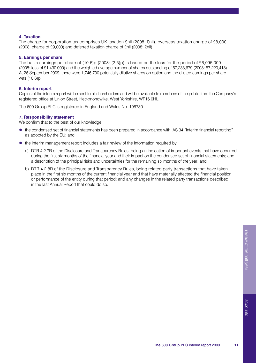#### **4. Taxation**

The charge for corporation tax comprises UK taxation £nil (2008: £nil), overseas taxation charge of £8,000 (2008: charge of £9,000) and deferred taxation charge of £nil (2008: £nil).

#### **5. Earnings per share**

The basic earnings per share of (10.6)p (2008: (2.5)p) is based on the loss for the period of £6,095,000 (2008: loss of £1,430,000) and the weighted average number of shares outstanding of 57,233,679 (2008: 57,220,418). At 26 September 2009, there were 1,746,700 potentially dilutive shares on option and the diluted earnings per share was (10.6)p.

#### **6. Interim report**

Copies of the interim report will be sent to all shareholders and will be available to members of the public from the Company's registered office at Union Street, Heckmondwike, West Yorkshire, WF16 0HL.

The 600 Group PLC is registered in England and Wales No. 196730.

#### **7. Responsibility statement**

We confirm that to the best of our knowledge:

- the condensed set of financial statements has been prepared in accordance with IAS 34 "Interim financial reporting" as adopted by the EU; and
- $\bullet$  the interim management report includes a fair review of the information required by:
	- a) DTR 4.2.7R of the Disclosure and Transparency Rules, being an indication of important events that have occurred during the first six months of the financial year and their impact on the condensed set of financial statements; and a description of the principal risks and uncertainties for the remaining six months of the year; and
	- b) DTR 4.2.8R of the Disclosure and Transparency Rules, being related party transactions that have taken place in the first six months of the current financial year and that have materially affected the financial position or performance of the entity during that period; and any changes in the related party transactions described in the last Annual Report that could do so.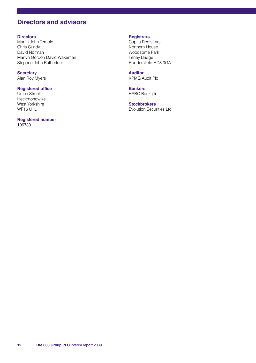## **Directors and advisors**

#### **Directors**

Martin John Temple Chris Cundy David Norman Martyn Gordon David Wakeman Stephen John Rutherford

**Secretary**  Alan Roy Myers

#### **Registered office**

Union Street Heckmondwike West Yorkshire WF<sub>16</sub> OHL

## **Registered number**

196730

### **Registrars**

Capita Registrars Northern House Woodsome Park Fenay Bridge Huddersfield HD8 0GA

**Auditor** KPMG Audit Plc

**Bankers** HSBC Bank plc

**Stockbrokers** Evolution Securities Ltd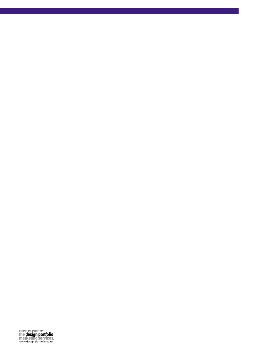designed and produced by<br>the design portfolio<br>marketing services<br>www.design-portfolio.co.uk